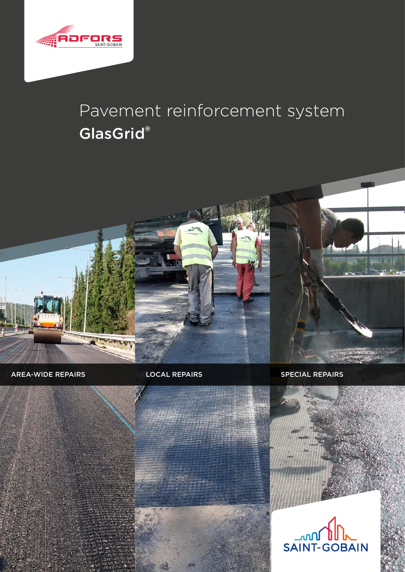

# Pavement reinforcement system GlasGrid®



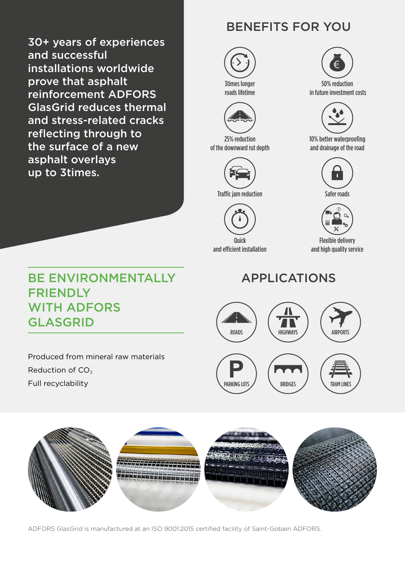30+ years of experiences and successful installations worldwide prove that asphalt reinforcement ADFORS GlasGrid reduces thermal and stress-related cracks reflecting through to the surface of a new asphalt overlays up to 3times.

### BE ENVIRONMENTALLY FRIENDLY WITH ADFORS GLASGRID

Produced from mineral raw materials Reduction of CO<sub>2</sub> Full recyclability

### BENEFITS FOR YOU



3times longer roads lifetime



25% reduction of the downward rut depth



Traffic jam reduction Safer roads



and efficient installation



50% reduction in future investment costs



10% better waterproofing and drainage of the road





Flexible delivery and high quality service

## APPLICATIONS





ADFORS GlasGrid is manufactured at an ISO 9001:2015 certified facility of Saint-Gobain ADFORS.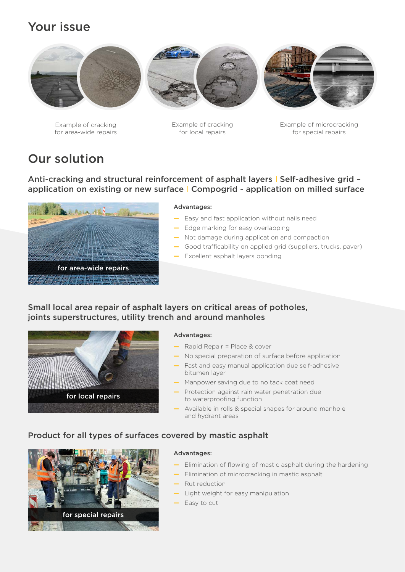### Your issue



Example of cracking for area-wide repairs Example of cracking for local repairs

Example of microcracking for special repairs

### Our solution

Anti-cracking and structural reinforcement of asphalt layers | Self-adhesive grid application on existing or new surface | Compogrid - application on milled surface



#### Advantages:

- Easy and fast application without nails need
- Edge marking for easy overlapping
- Not damage during application and compaction
- Good trafficability on applied grid (suppliers, trucks, paver)
- Excellent asphalt layers bonding

#### Small local area repair of asphalt layers on critical areas of potholes, joints superstructures, utility trench and around manholes



#### Advantages:

- Rapid Repair = Place & cover
- No special preparation of surface before application
- Fast and easy manual application due self-adhesive bitumen layer
- Manpower saving due to no tack coat need
- Protection against rain water penetration due to waterproofing function
- Available in rolls & special shapes for around manhole and hydrant areas

#### Product for all types of surfaces covered by mastic asphalt



#### Advantages:

- Elimination of flowing of mastic asphalt during the hardening
- Elimination of microcracking in mastic asphalt
- Rut reduction
- Light weight for easy manipulation
- Easy to cut